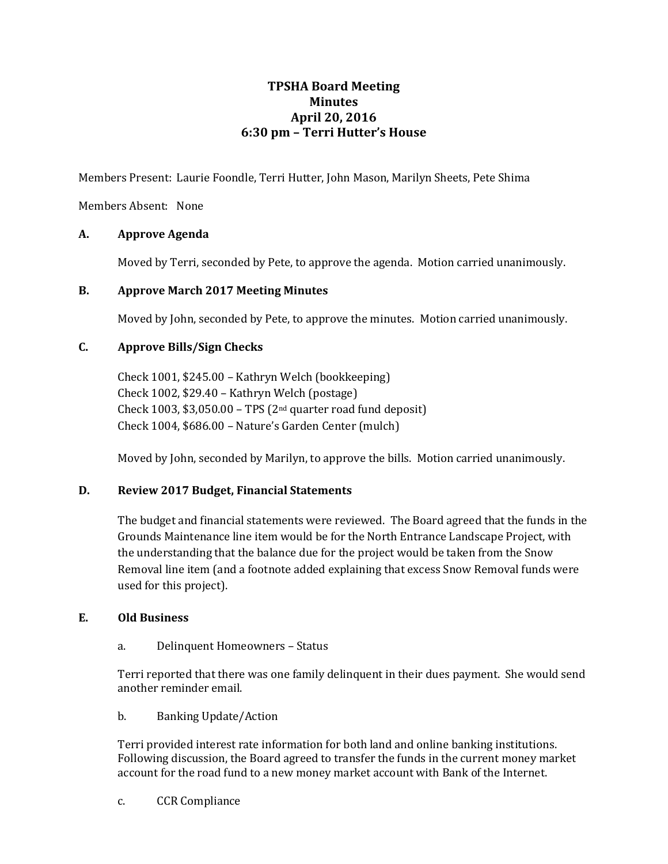# **TPSHA Board Meeting Minutes April 20, 2016 6:30 pm – Terri Hutter's House**

Members Present: Laurie Foondle, Terri Hutter, John Mason, Marilyn Sheets, Pete Shima

Members Absent: None

## **A. Approve Agenda**

Moved by Terri, seconded by Pete, to approve the agenda. Motion carried unanimously.

## **B. Approve March 2017 Meeting Minutes**

Moved by John, seconded by Pete, to approve the minutes. Motion carried unanimously.

## **C. Approve Bills/Sign Checks**

Check 1001, \$245.00 – Kathryn Welch (bookkeeping) Check 1002, \$29.40 – Kathryn Welch (postage) Check 1003,  $$3,050.00 - TPS$  (2<sup>nd</sup> quarter road fund deposit) Check 1004, \$686.00 – Nature's Garden Center (mulch)

Moved by John, seconded by Marilyn, to approve the bills. Motion carried unanimously.

#### **D. Review 2017 Budget, Financial Statements**

The budget and financial statements were reviewed. The Board agreed that the funds in the Grounds Maintenance line item would be for the North Entrance Landscape Project, with the understanding that the balance due for the project would be taken from the Snow Removal line item (and a footnote added explaining that excess Snow Removal funds were used for this project).

#### **E. Old Business**

a. Delinquent Homeowners – Status

Terri reported that there was one family delinquent in their dues payment. She would send another reminder email.

b. Banking Update/Action

Terri provided interest rate information for both land and online banking institutions. Following discussion, the Board agreed to transfer the funds in the current money market account for the road fund to a new money market account with Bank of the Internet.

c. CCR Compliance